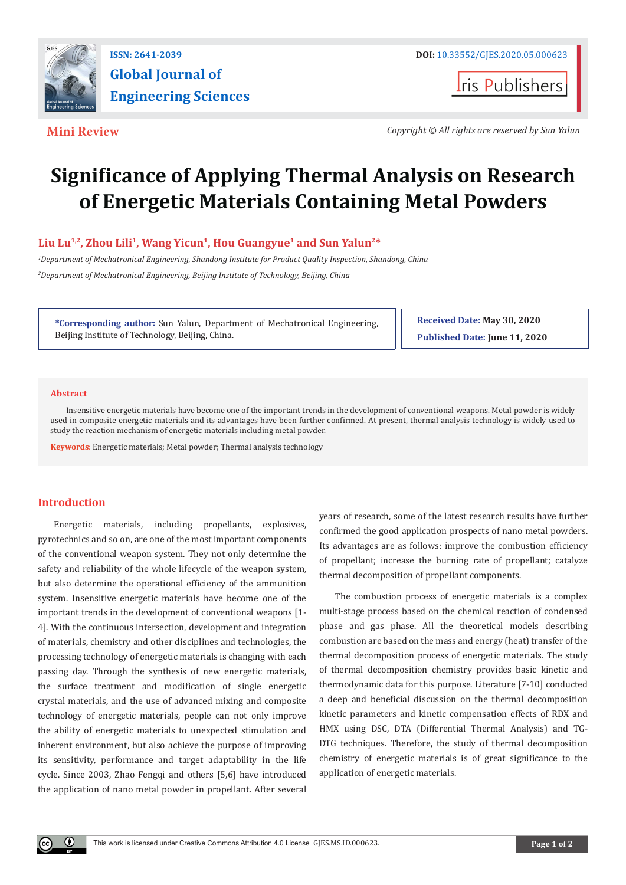

**ISSN: 2641-2039 DOI: [10.33552/GJES.2020.05.000623](http://dx.doi.org/10.33552/GJES.2020.05.000623)** 

**I**ris Publishers

**Mini Review** *Copyright © All rights are reserved by Sun Yalun*

# **Significance of Applying Thermal Analysis on Research of Energetic Materials Containing Metal Powders**

# **Liu Lu1,2, Zhou Lili<sup>1</sup>, Wang Yicun<sup>1</sup>, Hou Guangyue<sup>1</sup> and Sun Yalun2\***

*1 Department of Mechatronical Engineering, Shandong Institute for Product Quality Inspection, Shandong, China 2 Department of Mechatronical Engineering, Beijing Institute of Technology, Beijing, China*

**\*Corresponding author:** Sun Yalun, Department of Mechatronical Engineering, Beijing Institute of Technology, Beijing, China.

**Received Date: May 30, 2020 Published Date: June 11, 2020**

## **Abstract**

Insensitive energetic materials have become one of the important trends in the development of conventional weapons. Metal powder is widely used in composite energetic materials and its advantages have been further confirmed. At present, thermal analysis technology is widely used to study the reaction mechanism of energetic materials including metal powder.

**Keywords**: Energetic materials; Metal powder; Thermal analysis technology

# **Introduction**

Energetic materials, including propellants, explosives, pyrotechnics and so on, are one of the most important components of the conventional weapon system. They not only determine the safety and reliability of the whole lifecycle of the weapon system, but also determine the operational efficiency of the ammunition system. Insensitive energetic materials have become one of the important trends in the development of conventional weapons [1- 4]. With the continuous intersection, development and integration of materials, chemistry and other disciplines and technologies, the processing technology of energetic materials is changing with each passing day. Through the synthesis of new energetic materials, the surface treatment and modification of single energetic crystal materials, and the use of advanced mixing and composite technology of energetic materials, people can not only improve the ability of energetic materials to unexpected stimulation and inherent environment, but also achieve the purpose of improving its sensitivity, performance and target adaptability in the life cycle. Since 2003, Zhao Fengqi and others [5,6] have introduced the application of nano metal powder in propellant. After several

years of research, some of the latest research results have further confirmed the good application prospects of nano metal powders. Its advantages are as follows: improve the combustion efficiency of propellant; increase the burning rate of propellant; catalyze thermal decomposition of propellant components.

The combustion process of energetic materials is a complex multi-stage process based on the chemical reaction of condensed phase and gas phase. All the theoretical models describing combustion are based on the mass and energy (heat) transfer of the thermal decomposition process of energetic materials. The study of thermal decomposition chemistry provides basic kinetic and thermodynamic data for this purpose. Literature [7-10] conducted a deep and beneficial discussion on the thermal decomposition kinetic parameters and kinetic compensation effects of RDX and HMX using DSC, DTA (Differential Thermal Analysis) and TG-DTG techniques. Therefore, the study of thermal decomposition chemistry of energetic materials is of great significance to the application of energetic materials.